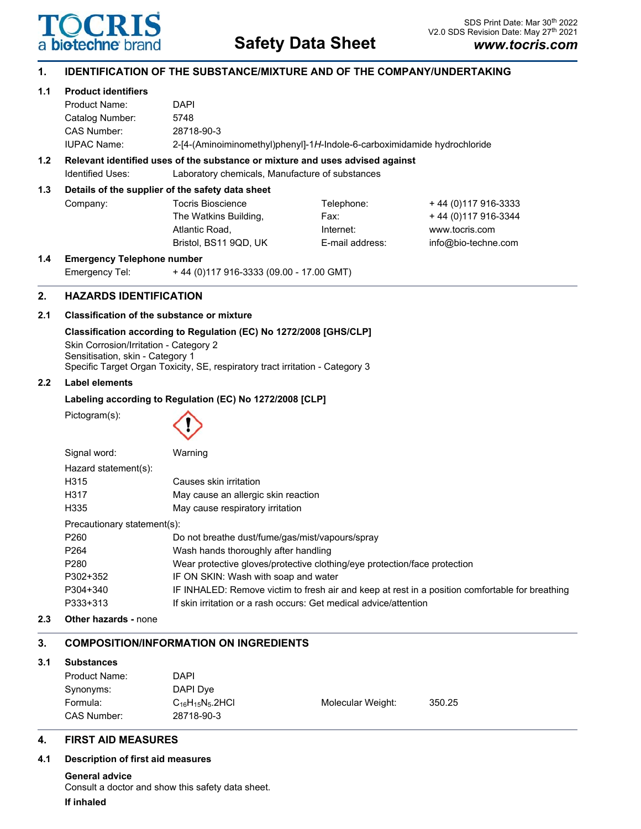

# **Safety Data Sheet**

## **1. IDENTIFICATION OF THE SUBSTANCE/MIXTURE AND OF THE COMPANY/UNDERTAKING**

## **1.1 Product identifiers**

| Pelevant identified uses of the cubetance or mivture and uses advised equinot |                                                                          |  |  |
|-------------------------------------------------------------------------------|--------------------------------------------------------------------------|--|--|
| IUPAC Name:                                                                   | 2-[4-(Aminoiminomethyl)phenyl]-1H-Indole-6-carboximidamide hydrochloride |  |  |
| CAS Number:                                                                   | 28718-90-3                                                               |  |  |
| Catalog Number:                                                               | 5748                                                                     |  |  |
| Product Name:                                                                 | DAPI                                                                     |  |  |

# **1.2 Relevant identified uses of the substance or mixture and uses advised against**

Identified Uses: Laboratory chemicals, Manufacture of substances

## **1.3 Details of the supplier of the safety data sheet**

| Company: | Tocris Bioscience     | Telephone:      | +44 (0) 117 916-3333 |
|----------|-----------------------|-----------------|----------------------|
|          | The Watkins Building, | Fax:            | +44 (0) 117 916-3344 |
|          | Atlantic Road.        | Internet:       | www.tocris.com       |
|          | Bristol. BS11 9QD. UK | E-mail address: | info@bio-techne.com  |

**1.4 Emergency Telephone number** Emergency Tel: + 44 (0)117 916-3333 (09.00 - 17.00 GMT)

## **2. HAZARDS IDENTIFICATION**

## **2.1 Classification of the substance or mixture**

## **Classification according to Regulation (EC) No 1272/2008 [GHS/CLP]** Skin Corrosion/Irritation - Category 2

Sensitisation, skin - Category 1 Specific Target Organ Toxicity, SE, respiratory tract irritation - Category 3

## **2.2 Label elements**

## **Labeling according to Regulation (EC) No 1272/2008 [CLP]**

Pictogram(s):

| Signal word:                | Warning                                                                                         |
|-----------------------------|-------------------------------------------------------------------------------------------------|
| Hazard statement(s):        |                                                                                                 |
| H315                        | Causes skin irritation                                                                          |
| H317                        | May cause an allergic skin reaction                                                             |
| H335                        | May cause respiratory irritation                                                                |
| Precautionary statement(s): |                                                                                                 |
| P <sub>260</sub>            | Do not breathe dust/fume/gas/mist/vapours/spray                                                 |
| P <sub>264</sub>            | Wash hands thoroughly after handling                                                            |
| P <sub>280</sub>            | Wear protective gloves/protective clothing/eye protection/face protection                       |
| P302+352                    | IF ON SKIN: Wash with soap and water                                                            |
| P304+340                    | IF INHALED: Remove victim to fresh air and keep at rest in a position comfortable for breathing |
| P333+313                    | If skin irritation or a rash occurs: Get medical advice/attention                               |

**2.3 Other hazards -** none

## **3. COMPOSITION/INFORMATION ON INGREDIENTS**

## **3.1 Substances**

| <b>000000000</b> |                        |                   |        |
|------------------|------------------------|-------------------|--------|
| Product Name:    | DAPI                   |                   |        |
| Synonyms:        | DAPI Dye               |                   |        |
| Formula:         | $C_{16}H_{15}N_5.2HCl$ | Molecular Weight: | 350.25 |
| CAS Number:      | 28718-90-3             |                   |        |
|                  |                        |                   |        |

## **4. FIRST AID MEASURES**

## **4.1 Description of first aid measures**

**General advice** Consult a doctor and show this safety data sheet.

**If inhaled**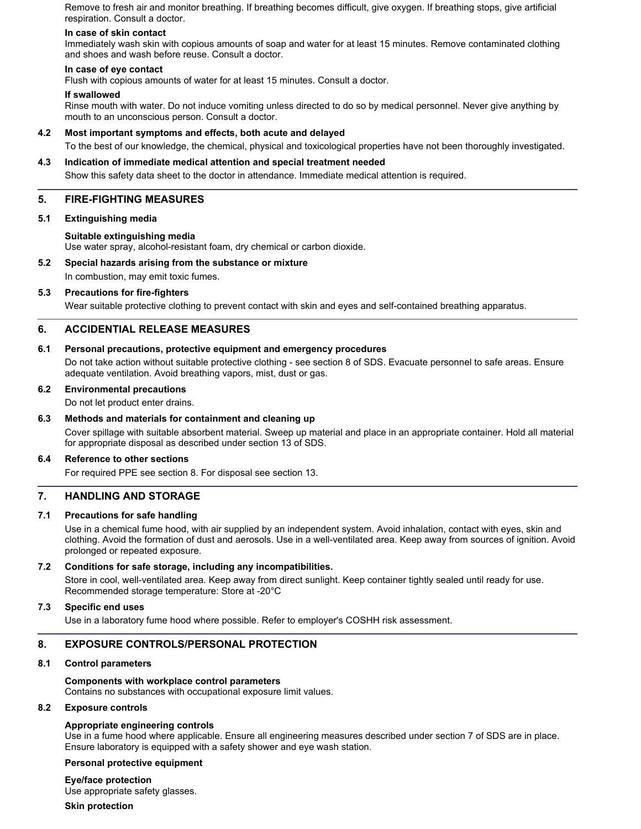Remove to fresh air and monitor breathing. If breathing becomes difficult, give oxygen. If breathing stops, give artificial respiration. Consult a doctor.

#### **In case of skin contact**

Immediately wash skin with copious amounts of soap and water for at least 15 minutes. Remove contaminated clothing and shoes and wash before reuse. Consult a doctor.

#### **In case of eye contact**

Flush with copious amounts of water for at least 15 minutes. Consult a doctor.

#### **If swallowed**

Rinse mouth with water. Do not induce vomiting unless directed to do so by medical personnel. Never give anything by mouth to an unconscious person. Consult a doctor.

#### **4.2 Most important symptoms and effects, both acute and delayed**

To the best of our knowledge, the chemical, physical and toxicological properties have not been thoroughly investigated.

#### **4.3 Indication of immediate medical attention and special treatment needed**

Show this safety data sheet to the doctor in attendance. Immediate medical attention is required.

### **5. FIRE-FIGHTING MEASURES**

#### **5.1 Extinguishing media**

#### **Suitable extinguishing media**

Use water spray, alcohol-resistant foam, dry chemical or carbon dioxide.

## **5.2 Special hazards arising from the substance or mixture**

In combustion, may emit toxic fumes.

#### **5.3 Precautions for fire-fighters**

Wear suitable protective clothing to prevent contact with skin and eyes and self-contained breathing apparatus.

### **6. ACCIDENTIAL RELEASE MEASURES**

#### **6.1 Personal precautions, protective equipment and emergency procedures**

Do not take action without suitable protective clothing - see section 8 of SDS. Evacuate personnel to safe areas. Ensure adequate ventilation. Avoid breathing vapors, mist, dust or gas.

#### **6.2 Environmental precautions**

Do not let product enter drains.

#### **6.3 Methods and materials for containment and cleaning up**

Cover spillage with suitable absorbent material. Sweep up material and place in an appropriate container. Hold all material for appropriate disposal as described under section 13 of SDS.

### **6.4 Reference to other sections**

For required PPE see section 8. For disposal see section 13.

### **7. HANDLING AND STORAGE**

#### **7.1 Precautions for safe handling**

Use in a chemical fume hood, with air supplied by an independent system. Avoid inhalation, contact with eyes, skin and clothing. Avoid the formation of dust and aerosols. Use in a well-ventilated area. Keep away from sources of ignition. Avoid prolonged or repeated exposure.

#### **7.2 Conditions for safe storage, including any incompatibilities.**

Store in cool, well-ventilated area. Keep away from direct sunlight. Keep container tightly sealed until ready for use. Recommended storage temperature: Store at -20°C

#### **7.3 Specific end uses**

Use in a laboratory fume hood where possible. Refer to employer's COSHH risk assessment.

## **8. EXPOSURE CONTROLS/PERSONAL PROTECTION**

#### **8.1 Control parameters**

## **Components with workplace control parameters**

Contains no substances with occupational exposure limit values.

## **8.2 Exposure controls**

### **Appropriate engineering controls**

Use in a fume hood where applicable. Ensure all engineering measures described under section 7 of SDS are in place. Ensure laboratory is equipped with a safety shower and eye wash station.

#### **Personal protective equipment**

**Eye/face protection**

Use appropriate safety glasses.

**Skin protection**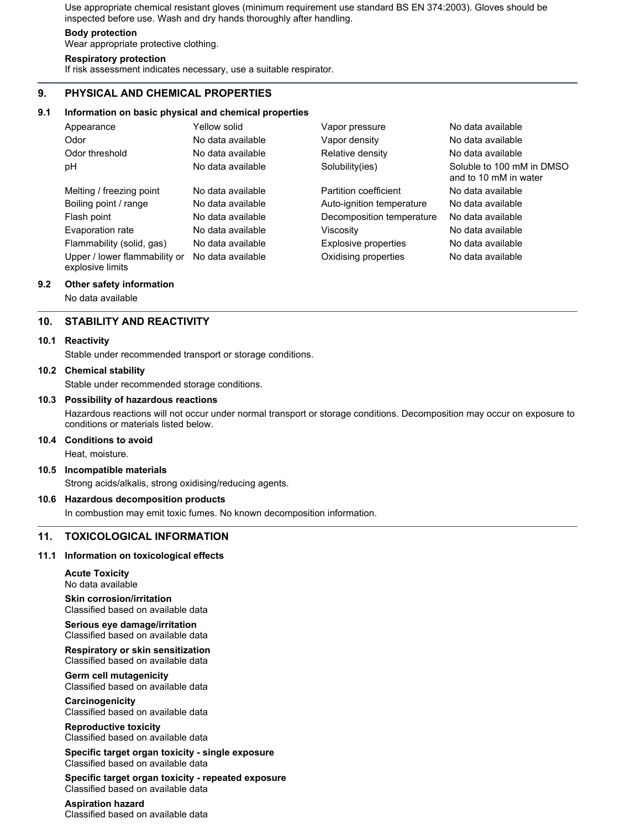Use appropriate chemical resistant gloves (minimum requirement use standard BS EN 374:2003). Gloves should be inspected before use. Wash and dry hands thoroughly after handling.

## **Body protection**

Wear appropriate protective clothing.

## **Respiratory protection**

If risk assessment indicates necessary, use a suitable respirator.

## **9. PHYSICAL AND CHEMICAL PROPERTIES**

#### **9.1 Information on basic physical and chemical properties**

| Appearance                                        | Yellow solid      | Vapor pressure            | No data available                                  |
|---------------------------------------------------|-------------------|---------------------------|----------------------------------------------------|
| Odor                                              | No data available | Vapor density             | No data available                                  |
| Odor threshold                                    | No data available | Relative density          | No data available                                  |
| рH                                                | No data available | Solubility(ies)           | Soluble to 100 mM in DMSO<br>and to 10 mM in water |
| Melting / freezing point                          | No data available | Partition coefficient     | No data available                                  |
| Boiling point / range                             | No data available | Auto-ignition temperature | No data available                                  |
| Flash point                                       | No data available | Decomposition temperature | No data available                                  |
| Evaporation rate                                  | No data available | Viscosity                 | No data available                                  |
| Flammability (solid, gas)                         | No data available | Explosive properties      | No data available                                  |
| Upper / lower flammability or<br>explosive limits | No data available | Oxidising properties      | No data available                                  |

#### **9.2 Other safety information**

No data available

### **10. STABILITY AND REACTIVITY**

#### **10.1 Reactivity**

Stable under recommended transport or storage conditions.

#### **10.2 Chemical stability**

Stable under recommended storage conditions.

#### **10.3 Possibility of hazardous reactions**

Hazardous reactions will not occur under normal transport or storage conditions. Decomposition may occur on exposure to conditions or materials listed below.

#### **10.4 Conditions to avoid**

Heat, moisture.

#### **10.5 Incompatible materials**

Strong acids/alkalis, strong oxidising/reducing agents.

#### **10.6 Hazardous decomposition products**

In combustion may emit toxic fumes. No known decomposition information.

### **11. TOXICOLOGICAL INFORMATION**

#### **11.1 Information on toxicological effects**

**Acute Toxicity** No data available

**Skin corrosion/irritation** Classified based on available data

**Serious eye damage/irritation** Classified based on available data

**Respiratory or skin sensitization** Classified based on available data

**Germ cell mutagenicity** Classified based on available data

**Carcinogenicity** Classified based on available data

**Reproductive toxicity** Classified based on available data

**Specific target organ toxicity - single exposure** Classified based on available data

**Specific target organ toxicity - repeated exposure** Classified based on available data

**Aspiration hazard** Classified based on available data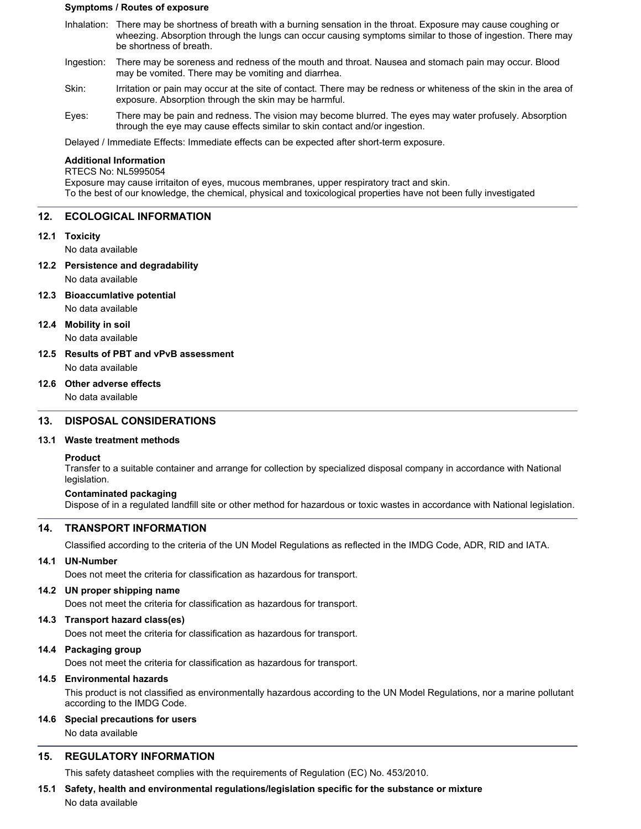#### **Symptoms / Routes of exposure**

- Inhalation: There may be shortness of breath with a burning sensation in the throat. Exposure may cause coughing or wheezing. Absorption through the lungs can occur causing symptoms similar to those of ingestion. There may be shortness of breath.
- Ingestion: There may be soreness and redness of the mouth and throat. Nausea and stomach pain may occur. Blood may be vomited. There may be vomiting and diarrhea.
- Skin: Irritation or pain may occur at the site of contact. There may be redness or whiteness of the skin in the area of exposure. Absorption through the skin may be harmful.
- Eyes: There may be pain and redness. The vision may become blurred. The eyes may water profusely. Absorption through the eye may cause effects similar to skin contact and/or ingestion.

Delayed / Immediate Effects: Immediate effects can be expected after short-term exposure.

## **Additional Information**

### RTECS No: NL5995054

Exposure may cause irritaiton of eyes, mucous membranes, upper respiratory tract and skin. To the best of our knowledge, the chemical, physical and toxicological properties have not been fully investigated

### **12. ECOLOGICAL INFORMATION**

### **12.1 Toxicity**

No data available

- **12.2 Persistence and degradability** No data available
- **12.3 Bioaccumlative potential** No data available
- **12.4 Mobility in soil**

No data available

**12.5 Results of PBT and vPvB assessment**

No data available

### **12.6 Other adverse effects**

No data available

## **13. DISPOSAL CONSIDERATIONS**

### **13.1 Waste treatment methods**

### **Product**

Transfer to a suitable container and arrange for collection by specialized disposal company in accordance with National legislation.

### **Contaminated packaging**

Dispose of in a regulated landfill site or other method for hazardous or toxic wastes in accordance with National legislation.

## **14. TRANSPORT INFORMATION**

Classified according to the criteria of the UN Model Regulations as reflected in the IMDG Code, ADR, RID and IATA.

### **14.1 UN-Number**

Does not meet the criteria for classification as hazardous for transport.

### **14.2 UN proper shipping name**

Does not meet the criteria for classification as hazardous for transport.

## **14.3 Transport hazard class(es)**

Does not meet the criteria for classification as hazardous for transport.

### **14.4 Packaging group**

Does not meet the criteria for classification as hazardous for transport.

### **14.5 Environmental hazards**

This product is not classified as environmentally hazardous according to the UN Model Regulations, nor a marine pollutant according to the IMDG Code.

### **14.6 Special precautions for users**

No data available

### **15. REGULATORY INFORMATION**

This safety datasheet complies with the requirements of Regulation (EC) No. 453/2010.

### **15.1 Safety, health and environmental regulations/legislation specific for the substance or mixture**

No data available